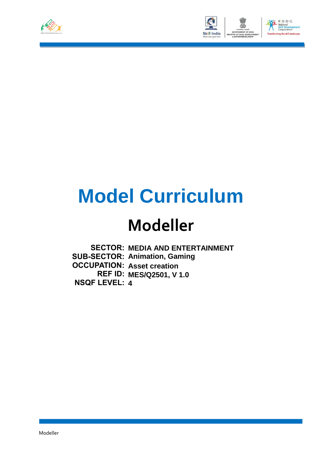



# **Model Curriculum**

## **Modeller**

**SECTOR: MEDIA AND ENTERTAINMENT SUB-SECTOR: Animation, Gaming OCCUPATION: Asset creation REF ID: MES/Q2501, V 1.0 NSQF LEVEL: 4**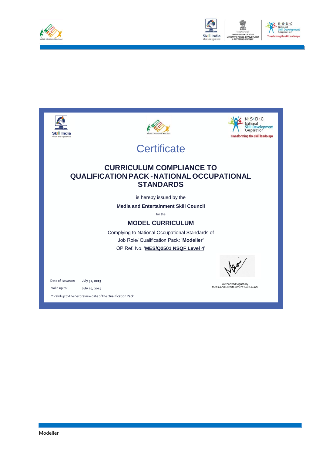



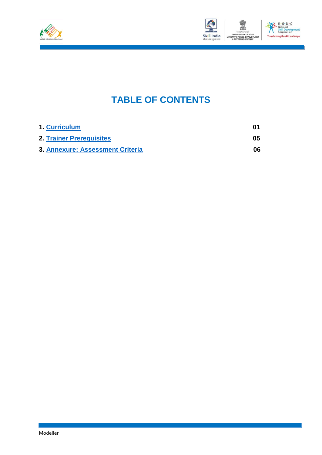



### **TABLE OF CONTENTS**

| 1. Curriculum                           | 01  |
|-----------------------------------------|-----|
| <b>2. Trainer Prerequisites</b>         | 05  |
| <b>3. Annexure: Assessment Criteria</b> | 06. |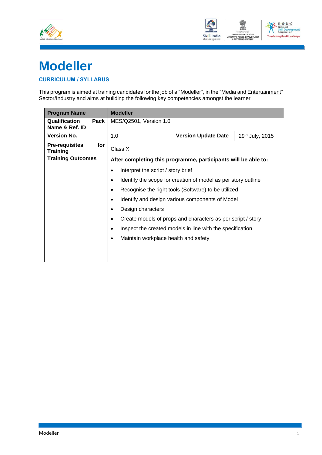



### **Modeller**

#### <span id="page-3-0"></span>**CURRICULUM / SYLLABUS**

This program is aimed at training candidates for the job of a "<u>Modeller</u>", in the "<u>Media and Entertainment</u>" Sector/Industry and aims at building the following key competencies amongst the learner

| <b>Program Name</b>                             | <b>Modeller</b>                                                |                                                             |  |  |  |  |  |
|-------------------------------------------------|----------------------------------------------------------------|-------------------------------------------------------------|--|--|--|--|--|
| Qualification<br>Pack<br>Name & Ref. ID         | MES/Q2501, Version 1.0                                         |                                                             |  |  |  |  |  |
| <b>Version No.</b>                              | 1.0                                                            | <b>Version Update Date</b><br>29th July, 2015               |  |  |  |  |  |
| for<br><b>Pre-requisites</b><br><b>Training</b> | Class X                                                        |                                                             |  |  |  |  |  |
| <b>Training Outcomes</b>                        | After completing this programme, participants will be able to: |                                                             |  |  |  |  |  |
|                                                 | Interpret the script / story brief<br>٠                        |                                                             |  |  |  |  |  |
|                                                 | Identify the scope for creation of model as per story outline  |                                                             |  |  |  |  |  |
|                                                 |                                                                | Recognise the right tools (Software) to be utilized         |  |  |  |  |  |
|                                                 | $\bullet$                                                      | Identify and design various components of Model             |  |  |  |  |  |
|                                                 | Design characters                                              |                                                             |  |  |  |  |  |
|                                                 |                                                                | Create models of props and characters as per script / story |  |  |  |  |  |
|                                                 | ٠                                                              | Inspect the created models in line with the specification   |  |  |  |  |  |
|                                                 |                                                                | Maintain workplace health and safety                        |  |  |  |  |  |
|                                                 |                                                                |                                                             |  |  |  |  |  |
|                                                 |                                                                |                                                             |  |  |  |  |  |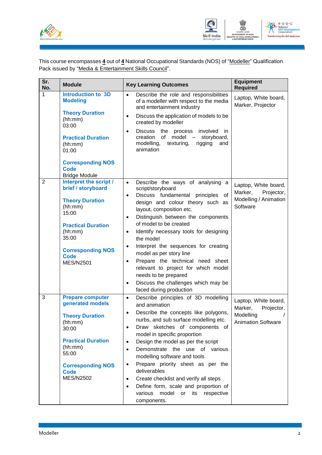



This course encompasses **4** out of **4** National Occupational Standards (NOS) of "Modeller" Qualification Pack issued by "Media & Entertainment Skills Council".

| Sr.<br>No.     | <b>Module</b>                                                                                                                                                                                              | <b>Key Learning Outcomes</b>                                                                                                                                                                                                                                                                                                                                                                                                                                                                                                                                                                                             | <b>Equipment</b><br><b>Required</b>                                                     |
|----------------|------------------------------------------------------------------------------------------------------------------------------------------------------------------------------------------------------------|--------------------------------------------------------------------------------------------------------------------------------------------------------------------------------------------------------------------------------------------------------------------------------------------------------------------------------------------------------------------------------------------------------------------------------------------------------------------------------------------------------------------------------------------------------------------------------------------------------------------------|-----------------------------------------------------------------------------------------|
| 1              | <b>Introduction to 3D</b><br><b>Modeling</b><br><b>Theory Duration</b><br>(hh:mm)<br>03:00<br><b>Practical Duration</b><br>(hh:mm)<br>01:00                                                                | Describe the role and responsibilities<br>$\bullet$<br>of a modeller with respect to the media<br>and entertainment industry<br>Discuss the application of models to be<br>$\bullet$<br>created by modeller<br><b>Discuss</b><br>involved<br>the process<br>-in<br>$\bullet$<br>creation<br>of<br>model<br>storyboard,<br>$\overline{\phantom{a}}$<br>modelling,<br>texturing,<br>rigging<br>and<br>animation                                                                                                                                                                                                            | Laptop, White board,<br>Marker, Projector                                               |
|                | <b>Corresponding NOS</b><br><b>Code</b><br><b>Bridge Module</b>                                                                                                                                            |                                                                                                                                                                                                                                                                                                                                                                                                                                                                                                                                                                                                                          |                                                                                         |
| $\overline{2}$ | Interpret the script /<br>brief / storyboard<br><b>Theory Duration</b><br>(hh:mm)<br>15:00<br><b>Practical Duration</b><br>(hh:mm)<br>35:00<br><b>Corresponding NOS</b><br><b>Code</b><br><b>MES/N2501</b> | Describe the ways of analysing a<br>$\bullet$<br>script/storyboard<br>Discuss fundamental principles<br>of<br>$\bullet$<br>design and colour theory such as<br>layout, composition etc.<br>Distinguish between the components<br>$\bullet$<br>of model to be created<br>Identify necessary tools for designing<br>$\bullet$<br>the model<br>Interpret the sequences for creating<br>$\bullet$<br>model as per story line<br>Prepare the technical need sheet<br>$\bullet$<br>relevant to project for which model<br>needs to be prepared<br>Discuss the challenges which may be<br>$\bullet$<br>faced during production  | Laptop, White board,<br>Marker,<br>Projector,<br>Modelling / Animation<br>Software      |
| 3              | <b>Prepare computer</b><br>generated models<br><b>Theory Duration</b><br>(hh:mm)<br>30:00<br><b>Practical Duration</b><br>(hh:mm)<br>55:00<br><b>Corresponding NOS</b><br><b>Code</b><br><b>MES/N2502</b>  | Describe principles of 3D modelling<br>$\bullet$<br>and animation<br>Describe the concepts like polygons,<br>$\bullet$<br>nurbs, and sub surface modelling etc.<br>Draw sketches of components of<br>$\bullet$<br>model in specific proportion<br>Design the model as per the script<br>$\bullet$<br>Demonstrate the use of various<br>$\bullet$<br>modelling software and tools<br>Prepare priority sheet as per the<br>$\bullet$<br>deliverables<br>Create checklist and verify all steps<br>$\bullet$<br>Define form, scale and proportion of<br>$\bullet$<br>model<br>or its<br>various<br>respective<br>components. | Laptop, White board,<br>Marker,<br>Projector,<br>Modelling<br><b>Animation Software</b> |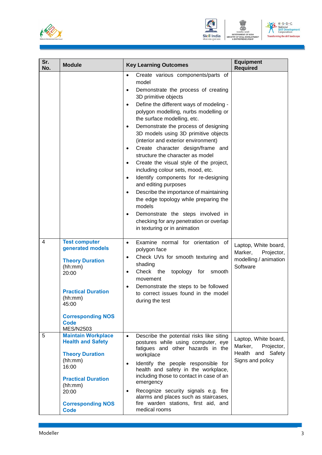



| Sr.<br>No. | <b>Module</b>                                                                                                                                                                                          | <b>Key Learning Outcomes</b>                                                                                                                                                                                                                                                                                                                                                                                                                                                                                                                                                                                                                                                                                                                                                                                                                                                                                    | <b>Equipment</b><br><b>Required</b>                                                    |
|------------|--------------------------------------------------------------------------------------------------------------------------------------------------------------------------------------------------------|-----------------------------------------------------------------------------------------------------------------------------------------------------------------------------------------------------------------------------------------------------------------------------------------------------------------------------------------------------------------------------------------------------------------------------------------------------------------------------------------------------------------------------------------------------------------------------------------------------------------------------------------------------------------------------------------------------------------------------------------------------------------------------------------------------------------------------------------------------------------------------------------------------------------|----------------------------------------------------------------------------------------|
|            |                                                                                                                                                                                                        | Create various components/parts of<br>$\bullet$<br>model<br>Demonstrate the process of creating<br>$\bullet$<br>3D primitive objects<br>Define the different ways of modeling -<br>$\bullet$<br>polygon modelling, nurbs modelling or<br>the surface modelling, etc.<br>Demonstrate the process of designing<br>$\bullet$<br>3D models using 3D primitive objects<br>(interior and exterior environment)<br>Create character design/frame and<br>$\bullet$<br>structure the character as model<br>Create the visual style of the project,<br>$\bullet$<br>including colour sets, mood, etc.<br>Identify components for re-designing<br>$\bullet$<br>and editing purposes<br>Describe the importance of maintaining<br>$\bullet$<br>the edge topology while preparing the<br>models<br>Demonstrate the steps involved in<br>$\bullet$<br>checking for any penetration or overlap<br>in texturing or in animation |                                                                                        |
| 4          | <b>Test computer</b><br>generated models<br><b>Theory Duration</b><br>(hh:mm)<br>20:00<br><b>Practical Duration</b><br>(hh:mm)<br>45:00<br><b>Corresponding NOS</b><br><b>Code</b><br><b>MES/N2503</b> | Examine normal for orientation of<br>$\bullet$<br>polygon face<br>Check UVs for smooth texturing and<br>$\bullet$<br>shading<br>Check the<br>topology for<br>smooth<br>$\bullet$<br>movement<br>Demonstrate the steps to be followed<br>$\bullet$<br>to correct issues found in the model<br>during the test                                                                                                                                                                                                                                                                                                                                                                                                                                                                                                                                                                                                    | Laptop, White board,<br>Marker,<br>Projector,<br>modelling / animation<br>Software     |
| 5          | <b>Maintain Workplace</b><br><b>Health and Safety</b><br><b>Theory Duration</b><br>(hh:mm)<br>16:00<br><b>Practical Duration</b><br>(hh:mm)<br>20:00<br><b>Corresponding NOS</b><br><b>Code</b>        | Describe the potential risks like siting<br>$\bullet$<br>postures while using computer, eye<br>fatigues and other hazards in the<br>workplace<br>Identify the people responsible for<br>$\bullet$<br>health and safety in the workplace,<br>including those to contact in case of an<br>emergency<br>Recognize security signals e.g. fire<br>$\bullet$<br>alarms and places such as staircases,<br>fire warden stations, first aid, and<br>medical rooms                                                                                                                                                                                                                                                                                                                                                                                                                                                        | Laptop, White board,<br>Marker,<br>Projector,<br>Health and Safety<br>Signs and policy |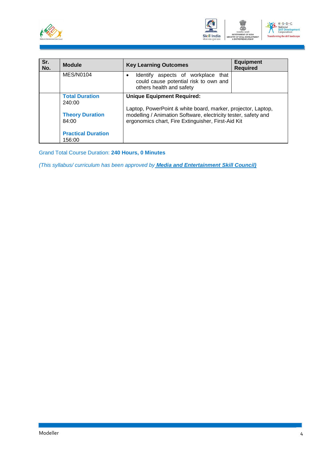



| Sr.<br>No. | <b>Module</b>                       | <b>Key Learning Outcomes</b>                                                                                                                                                         | <b>Equipment</b><br><b>Required</b> |  |  |
|------------|-------------------------------------|--------------------------------------------------------------------------------------------------------------------------------------------------------------------------------------|-------------------------------------|--|--|
|            | MES/N0104                           | Identify aspects of workplace that<br>$\bullet$<br>could cause potential risk to own and<br>others health and safety                                                                 |                                     |  |  |
|            | <b>Total Duration</b><br>240:00     | <b>Unique Equipment Required:</b>                                                                                                                                                    |                                     |  |  |
|            | <b>Theory Duration</b><br>84:00     | Laptop, PowerPoint & white board, marker, projector, Laptop,<br>modelling / Animation Software, electricity tester, safety and<br>ergonomics chart, Fire Extinguisher, First-Aid Kit |                                     |  |  |
|            | <b>Practical Duration</b><br>156:00 |                                                                                                                                                                                      |                                     |  |  |

Grand Total Course Duration: **240 Hours, 0 Minutes**

*(This syllabus/ curriculum has been approved by Media and Entertainment Skill Council)*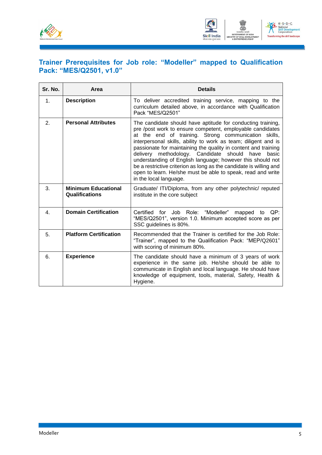

<span id="page-7-0"></span>

#### **Trainer Prerequisites for Job role: "Modeller" mapped to Qualification Pack: "MES/Q2501, v1.0"**

| Sr. No. | Area                                         | <b>Details</b>                                                                                                                                                                                                                                                                                                                                                                                                                                                                                                                                                                                            |
|---------|----------------------------------------------|-----------------------------------------------------------------------------------------------------------------------------------------------------------------------------------------------------------------------------------------------------------------------------------------------------------------------------------------------------------------------------------------------------------------------------------------------------------------------------------------------------------------------------------------------------------------------------------------------------------|
| 1.      | <b>Description</b>                           | To deliver accredited training service, mapping to the<br>curriculum detailed above, in accordance with Qualification<br>Pack "MES/Q2501"                                                                                                                                                                                                                                                                                                                                                                                                                                                                 |
| 2.      | <b>Personal Attributes</b>                   | The candidate should have aptitude for conducting training,<br>pre /post work to ensure competent, employable candidates<br>at the end of training. Strong communication skills,<br>interpersonal skills, ability to work as team; diligent and is<br>passionate for maintaining the quality in content and training<br>delivery methodology. Candidate should have<br>basic<br>understanding of English language; however this should not<br>be a restrictive criterion as long as the candidate is willing and<br>open to learn. He/she must be able to speak, read and write<br>in the local language. |
| 3.      | <b>Minimum Educational</b><br>Qualifications | Graduate/ ITI/Diploma, from any other polytechnic/ reputed<br>institute in the core subject                                                                                                                                                                                                                                                                                                                                                                                                                                                                                                               |
| 4.      | <b>Domain Certification</b>                  | Certified for Job Role: "Modeller"<br>QP:<br>mapped to<br>"MES/Q2501", version 1.0. Minimum accepted score as per<br>SSC guidelines is 80%.                                                                                                                                                                                                                                                                                                                                                                                                                                                               |
| 5.      | <b>Platform Certification</b>                | Recommended that the Trainer is certified for the Job Role:<br>"Trainer", mapped to the Qualification Pack: "MEP/Q2601"<br>with scoring of minimum 80%.                                                                                                                                                                                                                                                                                                                                                                                                                                                   |
| 6.      | <b>Experience</b>                            | The candidate should have a minimum of 3 years of work<br>experience in the same job. He/she should be able to<br>communicate in English and local language. He should have<br>knowledge of equipment, tools, material, Safety, Health &<br>Hygiene.                                                                                                                                                                                                                                                                                                                                                      |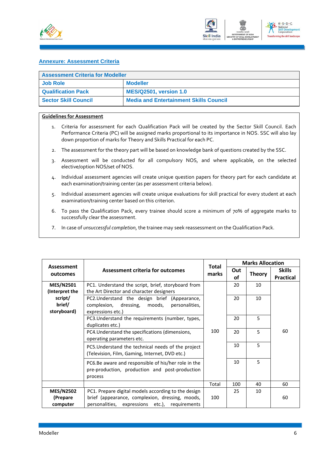



#### <span id="page-8-0"></span>**Annexure: Assessment Criteria**

| <b>Assessment Criteria for Modeller</b> |                                               |  |  |  |
|-----------------------------------------|-----------------------------------------------|--|--|--|
| <b>Job Role</b><br><b>Modeller</b>      |                                               |  |  |  |
| <b>Qualification Pack</b>               | <b>MES/Q2501, version 1.0</b>                 |  |  |  |
| <b>Sector Skill Council</b>             | <b>Media and Entertainment Skills Council</b> |  |  |  |

#### **Guidelines for Assessment**

- 1. Criteria for assessment for each Qualification Pack will be created by the Sector Skill Council. Each Performance Criteria (PC) will be assigned marks proportional to its importance in NOS. SSC will also lay down proportion of marks for Theory and Skills Practical for each PC.
- 2. The assessment for the theory part will be based on knowledge bank of questions created by the SSC.
- 3. Assessment will be conducted for all compulsory NOS, and where applicable, on the selected elective/option NOS/set of NOS.
- 4. Individual assessment agencies will create unique question papers for theory part for each candidate at each examination/training center (as per assessment criteria below).
- 5. Individual assessment agencies will create unique evaluations for skill practical for every student at each examination/training center based on this criterion.
- 6. To pass the Qualification Pack, every trainee should score a minimum of 70% of aggregate marks to successfully clear the assessment.
- 7. In case of *unsuccessful completion*, the trainee may seek reassessment on the Qualification Pack.

| Assessment                         | <b>Assessment criteria for outcomes</b>                                                                                 | <b>Total</b><br>marks | <b>Marks Allocation</b> |               |                                   |
|------------------------------------|-------------------------------------------------------------------------------------------------------------------------|-----------------------|-------------------------|---------------|-----------------------------------|
| outcomes                           |                                                                                                                         |                       | Out<br>οf               | <b>Theory</b> | <b>Skills</b><br><b>Practical</b> |
| <b>MES/N2501</b><br>(Interpret the | PC1. Understand the script, brief, storyboard from<br>the Art Director and character designers                          |                       | 20                      | 10            |                                   |
| script/<br>brief/<br>storyboard)   | PC2. Understand the design brief (Appearance,<br>complexion, dressing,<br>moods,<br>personalities,<br>expressions etc.) |                       | 20                      | 10            |                                   |
|                                    | PC3. Understand the requirements (number, types,<br>duplicates etc.)                                                    |                       | 20                      | 5             |                                   |
|                                    | PC4. Understand the specifications (dimensions,<br>operating parameters etc.                                            | 100                   | 20                      | 5             | 60                                |
|                                    | PC5. Understand the technical needs of the project<br>(Television, Film, Gaming, Internet, DVD etc.)                    |                       | 10                      | 5             |                                   |
|                                    | PC6.Be aware and responsible of his/her role in the<br>pre-production, production and post-production<br>process        |                       | 10                      | 5             |                                   |
|                                    |                                                                                                                         | Total                 | 100                     | 40            | 60                                |
| <b>MES/N2502</b>                   | PC1. Prepare digital models according to the design                                                                     |                       | 25                      | 10            |                                   |
| (Prepare<br>computer               | brief (appearance, complexion, dressing, moods,<br>personalities, expressions etc.), requirements                       | 100                   |                         |               | 60                                |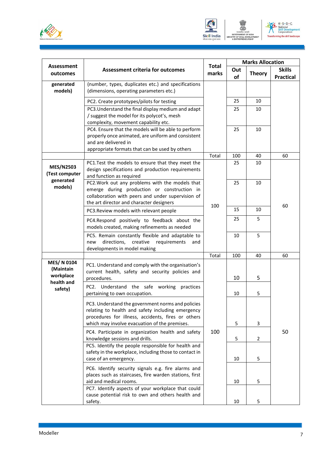





|                                                     |                                                                                                                                                                                                               |       | <b>Total</b> |                | <b>Marks Allocation</b>           |  |
|-----------------------------------------------------|---------------------------------------------------------------------------------------------------------------------------------------------------------------------------------------------------------------|-------|--------------|----------------|-----------------------------------|--|
| Assessment<br>outcomes                              | <b>Assessment criteria for outcomes</b>                                                                                                                                                                       | marks | Out<br>of    | <b>Theory</b>  | <b>Skills</b><br><b>Practical</b> |  |
| generated<br>models)                                | (number, types, duplicates etc.) and specifications<br>(dimensions, operating parameters etc.)                                                                                                                |       |              |                |                                   |  |
|                                                     | PC2. Create prototypes/pilots for testing                                                                                                                                                                     |       | 25           | 10             |                                   |  |
|                                                     | PC3. Understand the final display medium and adapt<br>/ suggest the model for its polycot's, mesh<br>complexity, movement capability etc.                                                                     |       | 25           | 10             |                                   |  |
|                                                     | PC4. Ensure that the models will be able to perform<br>properly once animated, are uniform and consistent<br>and are delivered in<br>appropriate formats that can be used by others                           |       | 25           | 10             |                                   |  |
|                                                     |                                                                                                                                                                                                               | Total | 100          | 40             | 60                                |  |
| <b>MES/N2503</b><br>(Test computer                  | PC1.Test the models to ensure that they meet the<br>design specifications and production requirements<br>and function as required                                                                             |       | 25           | 10             |                                   |  |
| generated<br>models)                                | PC2. Work out any problems with the models that<br>emerge during production or construction in<br>collaboration with peers and under supervision of<br>the art director and character designers               | 100   | 25           | 10             | 60                                |  |
|                                                     | PC3. Review models with relevant people                                                                                                                                                                       | 15    | 10           |                |                                   |  |
|                                                     | PC4.Respond positively to feedback about the<br>models created, making refinements as needed                                                                                                                  |       | 25           | 5              |                                   |  |
|                                                     | PC5. Remain constantly flexible and adaptable to<br>directions,<br>creative requirements<br>new<br>and<br>developments in model making                                                                        |       | 10           | 5              |                                   |  |
|                                                     |                                                                                                                                                                                                               | Total | 100          | 40             | 60                                |  |
| MES/ N 0104<br>(Maintain<br>workplace<br>health and | PC1. Understand and comply with the organisation's<br>current health, safety and security policies and<br>procedures.                                                                                         |       | 10           | 5              |                                   |  |
| safety)                                             | PC2. Understand the safe working<br>practices<br>pertaining to own occupation.                                                                                                                                |       | 10           | 5              |                                   |  |
|                                                     | PC3. Understand the government norms and policies<br>relating to health and safety including emergency<br>procedures for illness, accidents, fires or others<br>which may involve evacuation of the premises. |       | 5            | 3              |                                   |  |
|                                                     | PC4. Participate in organization health and safety                                                                                                                                                            | 100   |              |                | 50                                |  |
|                                                     | knowledge sessions and drills.<br>PC5. Identify the people responsible for health and                                                                                                                         |       | 5            | $\overline{2}$ |                                   |  |
|                                                     | safety in the workplace, including those to contact in<br>case of an emergency.                                                                                                                               |       | 10           | 5              |                                   |  |
|                                                     | PC6. Identify security signals e.g. fire alarms and<br>places such as staircases, fire warden stations, first<br>aid and medical rooms.                                                                       |       | 10           | 5              |                                   |  |
|                                                     | PC7. Identify aspects of your workplace that could<br>cause potential risk to own and others health and<br>safety.                                                                                            |       | 10           | 5              |                                   |  |